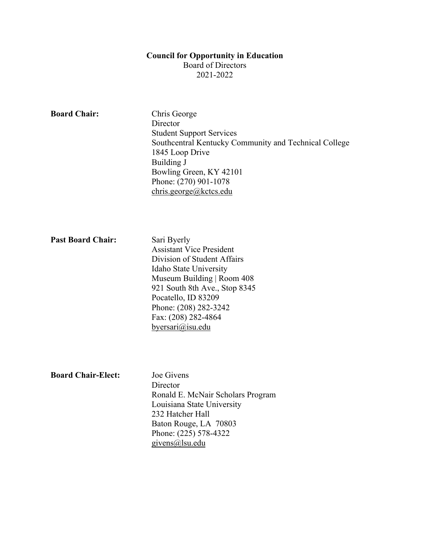#### **Council for Opportunity in Education**

Board of Directors

2021-2022

| <b>Board Chair:</b>       | Chris George<br>Director<br><b>Student Support Services</b><br>Southcentral Kentucky Community and Technical College<br>1845 Loop Drive<br>Building J<br>Bowling Green, KY 42101<br>Phone: (270) 901-1078<br>chris.george@kctcs.edu                               |
|---------------------------|-------------------------------------------------------------------------------------------------------------------------------------------------------------------------------------------------------------------------------------------------------------------|
| <b>Past Board Chair:</b>  | Sari Byerly<br><b>Assistant Vice President</b><br>Division of Student Affairs<br>Idaho State University<br>Museum Building   Room 408<br>921 South 8th Ave., Stop 8345<br>Pocatello, ID 83209<br>Phone: (208) 282-3242<br>Fax: (208) 282-4864<br>byersari@isu.edu |
| <b>Board Chair-Elect:</b> | Joe Givens<br>Director<br>Ronald E. McNair Scholars Program<br>Louisiana State University<br>232 Hatcher Hall<br>Baton Rouge, LA 70803<br>Phone: (225) 578-4322<br>givens@lsu.edu                                                                                 |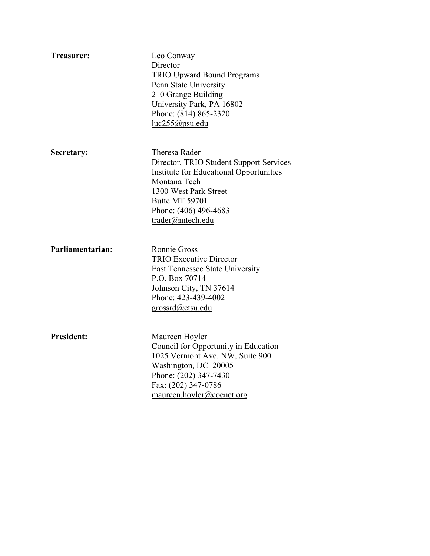| Treasurer:        | Leo Conway<br>Director<br><b>TRIO Upward Bound Programs</b><br>Penn State University<br>210 Grange Building<br>University Park, PA 16802<br>Phone: (814) 865-2320<br>luc255@psu.edu                         |
|-------------------|-------------------------------------------------------------------------------------------------------------------------------------------------------------------------------------------------------------|
| Secretary:        | Theresa Rader<br>Director, TRIO Student Support Services<br>Institute for Educational Opportunities<br>Montana Tech<br>1300 West Park Street<br>Butte MT 59701<br>Phone: (406) 496-4683<br>trader@mtech.edu |
| Parliamentarian:  | <b>Ronnie Gross</b><br><b>TRIO Executive Director</b><br>East Tennessee State University<br>P.O. Box 70714<br>Johnson City, TN 37614<br>Phone: 423-439-4002<br>grossrd@etsu.edu                             |
| <b>President:</b> | Maureen Hoyler<br>Council for Opportunity in Education<br>1025 Vermont Ave. NW, Suite 900<br>Washington, DC 20005<br>Phone: (202) 347-7430<br>Fax: (202) 347-0786<br>maureen.hoyler@coenet.org              |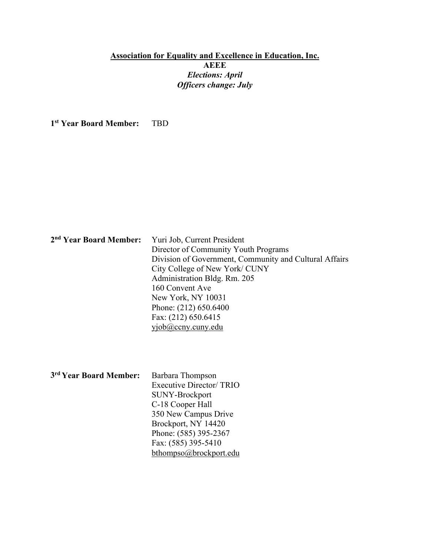# **Association for Equality and Excellence in Education, Inc. AEEE**  *Elections: April Officers change: July*

**1st Year Board Member:** TBD

| 2 <sup>nd</sup> Year Board Member: | Yuri Job, Current President                            |
|------------------------------------|--------------------------------------------------------|
|                                    | Director of Community Youth Programs                   |
|                                    | Division of Government, Community and Cultural Affairs |
|                                    | City College of New York/ CUNY                         |
|                                    | Administration Bldg. Rm. 205                           |
|                                    | 160 Convent Ave                                        |
|                                    | New York, NY 10031                                     |
|                                    | Phone: (212) 650.6400                                  |
|                                    | Fax: (212) 650.6415                                    |
|                                    | vjob@ccny.cuny.edu                                     |

| 3rd Year Board Member: | Barbara Thompson               |
|------------------------|--------------------------------|
|                        | <b>Executive Director/TRIO</b> |
|                        | <b>SUNY-Brockport</b>          |
|                        | C-18 Cooper Hall               |
|                        | 350 New Campus Drive           |
|                        | Brockport, NY 14420            |
|                        | Phone: (585) 395-2367          |
|                        | Fax: (585) 395-5410            |
|                        | bthompso@brockport.edu         |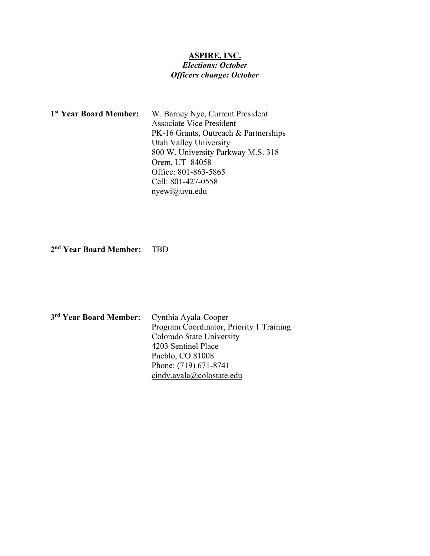# **ASPIRE, INC.**  *Elections: October Officers change: October*

| 1 <sup>st</sup> Year Board Member: | W. Barney Nye, Current President      |
|------------------------------------|---------------------------------------|
|                                    | <b>Associate Vice President</b>       |
|                                    | PK-16 Grants, Outreach & Partnerships |
|                                    | Utah Valley University                |
|                                    | 800 W. University Parkway M.S. 318    |
|                                    | Orem, UT 84058                        |
|                                    | Office: 801-863-5865                  |
|                                    | Cell: 801-427-0558                    |
|                                    | $n$ yewi $\omega$ uvu.edu             |

**2nd Year Board Member:** TBD

| 3rd Year Board Member: | Cynthia Ayala-Cooper                     |
|------------------------|------------------------------------------|
|                        | Program Coordinator, Priority 1 Training |
|                        | Colorado State University                |
|                        | 4203 Sentinel Place                      |
|                        | Pueblo, CO 81008                         |
|                        | Phone: (719) 671-8741                    |
|                        | cindy.ayala@colostate.edu                |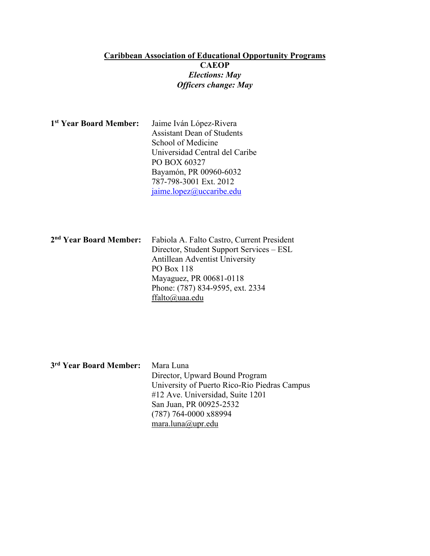#### **Caribbean Association of Educational Opportunity Programs CAEOP**  *Elections: May Officers change: May*

| 1 <sup>st</sup> Year Board Member: | Jaime Iván López-Rivera           |
|------------------------------------|-----------------------------------|
|                                    | <b>Assistant Dean of Students</b> |
|                                    | School of Medicine                |
|                                    | Universidad Central del Caribe    |
|                                    | PO BOX 60327                      |
|                                    | Bayamón, PR 00960-6032            |
|                                    | 787-798-3001 Ext. 2012            |
|                                    | jaime.lopez@uccaribe.edu          |

| 2 <sup>nd</sup> Year Board Member: | Fabiola A. Falto Castro, Current President |
|------------------------------------|--------------------------------------------|
|                                    | Director, Student Support Services – ESL   |
|                                    | <b>Antillean Adventist University</b>      |
|                                    | PO Box 118                                 |
|                                    | Mayaguez, PR 00681-0118                    |
|                                    | Phone: (787) 834-9595, ext. 2334           |
|                                    | ffalto@uaa.edu                             |

| 3rd Year Board Member: | Mara Luna                                    |
|------------------------|----------------------------------------------|
|                        | Director, Upward Bound Program               |
|                        | University of Puerto Rico-Rio Piedras Campus |
|                        | #12 Ave. Universidad, Suite 1201             |
|                        | San Juan, PR 00925-2532                      |
|                        | $(787)$ 764-0000 x88994                      |
|                        | mara.luna@upr.edu                            |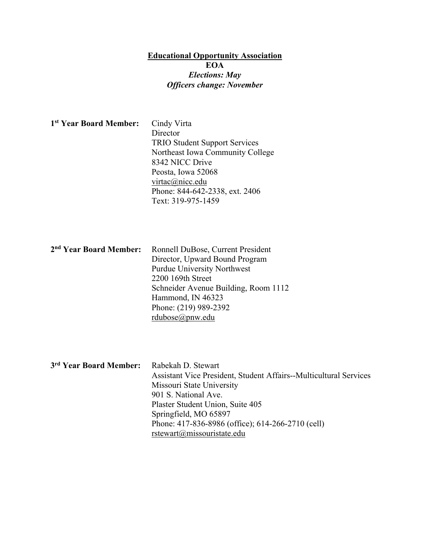# **Educational Opportunity Association EOA** *Elections: May Officers change: November*

| 1 <sup>st</sup> Year Board Member: | Cindy Virta<br>Director<br><b>TRIO Student Support Services</b><br>Northeast Iowa Community College<br>8342 NICC Drive<br>Peosta, Iowa 52068<br>virtac@nicc.edu<br>Phone: 844-642-2338, ext. 2406<br>Text: 319-975-1459                           |
|------------------------------------|---------------------------------------------------------------------------------------------------------------------------------------------------------------------------------------------------------------------------------------------------|
| 2 <sup>nd</sup> Year Board Member: | Ronnell DuBose, Current President<br>Director, Upward Bound Program<br><b>Purdue University Northwest</b><br>2200 169th Street<br>Schneider Avenue Building, Room 1112<br>Hammond, IN 46323<br>Phone: (219) 989-2392<br>$rdubose(\omega)$ pnw.edu |
| 3rd Year Board Member:             | Rabekah D. Stewart<br>Assistant Vice President, Student Affairs--Multi-<br>Missouri State University<br>901 S. National Ave.<br>$\sim$ $\sim$ $\sim$ $\sim$                                                                                       |

cultural Services Plaster Student Union, Suite 405 Springfield, MO 65897 Phone: 417-836-8986 (office); 614-266-2710 (cell) rstewart@missouristate.edu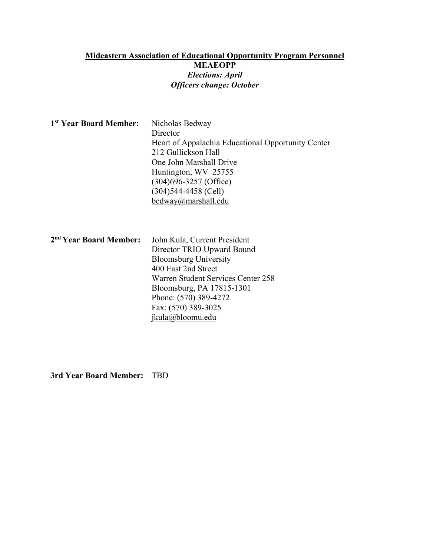# **Mideastern Association of Educational Opportunity Program Personnel MEAEOPP** *Elections: April Officers change: October*

| <sup>1st</sup> Year Board Member:  | Nicholas Bedway<br>Director<br>Heart of Appalachia Educational Opportunity Center<br>212 Gullickson Hall<br>One John Marshall Drive<br>Huntington, WV 25755<br>$(304)696 - 3257$ (Office)<br>$(304)544-4458$ (Cell)<br>bedway@marshall.edu               |
|------------------------------------|----------------------------------------------------------------------------------------------------------------------------------------------------------------------------------------------------------------------------------------------------------|
| 2 <sup>nd</sup> Year Board Member: | John Kula, Current President<br>Director TRIO Upward Bound<br><b>Bloomsburg University</b><br>400 East 2nd Street<br>Warren Student Services Center 258<br>Bloomsburg, PA 17815-1301<br>Phone: (570) 389-4272<br>Fax: (570) 389-3025<br>jkula@bloomu.edu |

**3rd Year Board Member:** TBD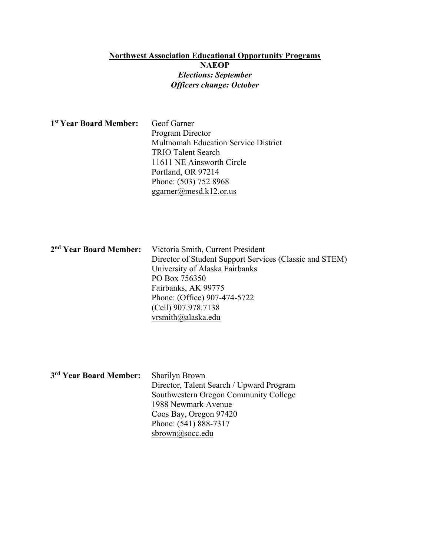## **Northwest Association Educational Opportunity Programs NAEOP**  *Elections: September Officers change: October*

| 1 <sup>st</sup> Year Board Member: | Geof Garner                                 |
|------------------------------------|---------------------------------------------|
|                                    | Program Director                            |
|                                    | <b>Multnomah Education Service District</b> |
|                                    | <b>TRIO Talent Search</b>                   |
|                                    | 11611 NE Ainsworth Circle                   |
|                                    | Portland, OR 97214                          |
|                                    | Phone: (503) 752 8968                       |
|                                    | ggarner@mesd.k12.or.us                      |

| 2 <sup>nd</sup> Year Board Member: Victoria Smith, Current President |
|----------------------------------------------------------------------|
| Director of Student Support Services (Classic and STEM)              |
| University of Alaska Fairbanks                                       |
| PO Box 756350                                                        |
| Fairbanks, AK 99775                                                  |
| Phone: (Office) 907-474-5722                                         |
| (Cell) 907.978.7138                                                  |
| vrsmith@alaska.edu                                                   |
|                                                                      |

| 3rd Year Board Member: | <b>Sharilyn Brown</b>                    |
|------------------------|------------------------------------------|
|                        | Director, Talent Search / Upward Program |
|                        | Southwestern Oregon Community College    |
|                        | 1988 Newmark Avenue                      |
|                        | Coos Bay, Oregon 97420                   |
|                        | Phone: (541) 888-7317                    |
|                        | sbrown@socc.edu                          |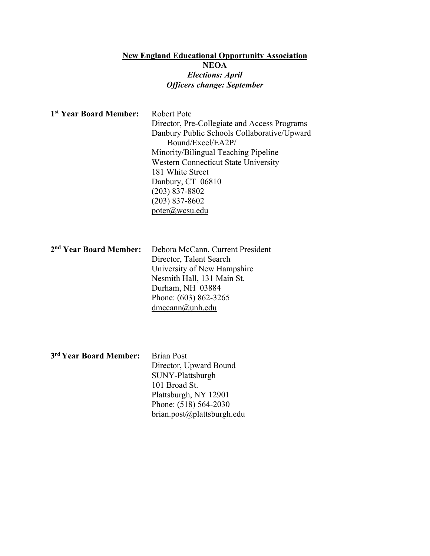# **New England Educational Opportunity Association NEOA**  *Elections: April Officers change: September*

| 1st Year Board Member:             | Robert Pote<br>Director, Pre-Collegiate and Access Programs<br>Danbury Public Schools Collaborative/Upward<br>Bound/Excel/EA2P/<br>Minority/Bilingual Teaching Pipeline<br><b>Western Connecticut State University</b><br>181 White Street<br>Danbury, CT 06810<br>$(203) 837 - 8802$<br>$(203) 837 - 8602$<br>poter@wcsu.edu |
|------------------------------------|-------------------------------------------------------------------------------------------------------------------------------------------------------------------------------------------------------------------------------------------------------------------------------------------------------------------------------|
| 2 <sup>nd</sup> Year Board Member: | Debora McCann, Current President<br>Director, Talent Search<br>University of New Hampshire<br>Nesmith Hall, 131 Main St.<br>Durham, NH 03884<br>Phone: (603) 862-3265<br>dmccann@unh.edu                                                                                                                                      |
| 3rd Year Board Member:             | <b>Brian Post</b><br>Director, Upward Bound<br>SUNY-Plattsburgh<br>101 Broad St.<br>Plattsburgh, NY 12901                                                                                                                                                                                                                     |

Phone: (518) 564-2030 brian.post@plattsburgh.edu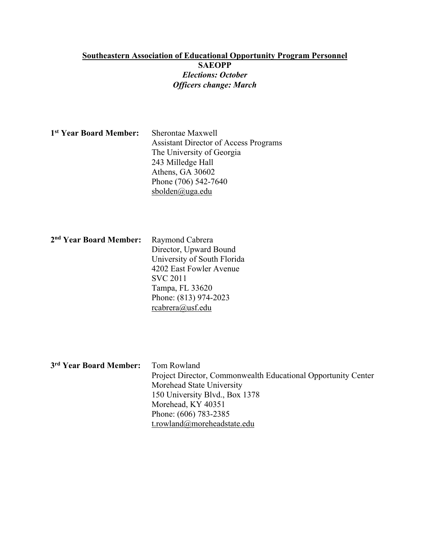#### **Southeastern Association of Educational Opportunity Program Personnel SAEOPP** *Elections: October Officers change: March*

| 1 <sup>st</sup> Year Board Member: | Sherontae Maxwell                            |
|------------------------------------|----------------------------------------------|
|                                    | <b>Assistant Director of Access Programs</b> |
|                                    | The University of Georgia                    |
|                                    | 243 Milledge Hall                            |
|                                    | Athens, GA 30602                             |
|                                    | Phone (706) 542-7640                         |
|                                    | sbolden@uga.edu                              |

| 2 <sup>nd</sup> Year Board Member: | Raymond Cabrera             |
|------------------------------------|-----------------------------|
|                                    | Director, Upward Bound      |
|                                    | University of South Florida |
|                                    | 4202 East Fowler Avenue     |
|                                    | <b>SVC 2011</b>             |
|                                    | Tampa, FL 33620             |
|                                    | Phone: (813) 974-2023       |
|                                    | rcabrera@usf.edu            |
|                                    |                             |

| 3rd Year Board Member: | Tom Rowland                                                   |
|------------------------|---------------------------------------------------------------|
|                        | Project Director, Commonwealth Educational Opportunity Center |
|                        | Morehead State University                                     |
|                        | 150 University Blvd., Box 1378                                |
|                        | Morehead, KY 40351                                            |
|                        | Phone: (606) 783-2385                                         |
|                        | t.rowland@moreheadstate.edu                                   |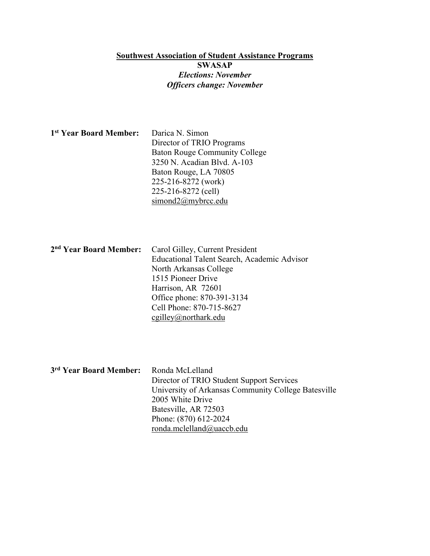## **Southwest Association of Student Assistance Programs SWASAP**  *Elections: November Officers change: November*

| 1 <sup>st</sup> Year Board Member: | Darica N. Simon                      |
|------------------------------------|--------------------------------------|
|                                    | Director of TRIO Programs            |
|                                    | <b>Baton Rouge Community College</b> |
|                                    | 3250 N. Acadian Blvd. A-103          |
|                                    | Baton Rouge, LA 70805                |
|                                    | 225-216-8272 (work)                  |
|                                    | 225-216-8272 (cell)                  |
|                                    | simond2@mybrec.edu                   |

| 2 <sup>nd</sup> Year Board Member: Carol Gilley, Current President |
|--------------------------------------------------------------------|
| Educational Talent Search, Academic Advisor                        |
| North Arkansas College                                             |
| 1515 Pioneer Drive                                                 |
| Harrison, AR 72601                                                 |
| Office phone: 870-391-3134                                         |
| Cell Phone: 870-715-8627                                           |
| $\text{egilley}(a)$ northark.edu                                   |

**3rd Year Board Member:** Ronda McLelland Director of TRIO Student Support Services University of Arkansas Community College Batesville 2005 White Drive Batesville, AR 72503 Phone: (870) 612-2024 ronda.mclelland@uaccb.edu